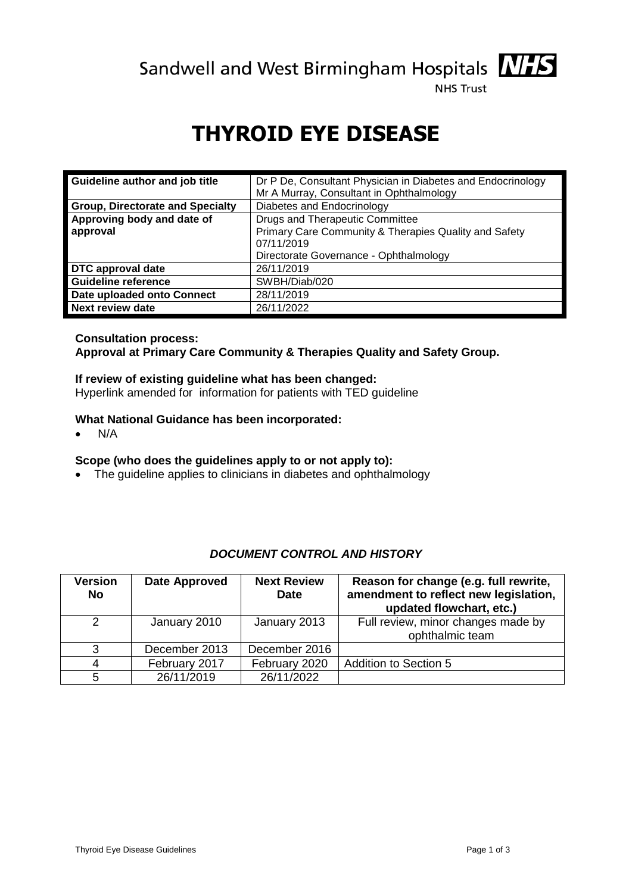Sandwell and West Birmingham Hospitals **MIS** 



**NHS Trust** 

# **THYROID EYE DISEASE**

| Guideline author and job title          | Dr P De, Consultant Physician in Diabetes and Endocrinology |  |  |
|-----------------------------------------|-------------------------------------------------------------|--|--|
|                                         | Mr A Murray, Consultant in Ophthalmology                    |  |  |
| <b>Group, Directorate and Specialty</b> | Diabetes and Endocrinology                                  |  |  |
| Approving body and date of              | Drugs and Therapeutic Committee                             |  |  |
| approval                                | Primary Care Community & Therapies Quality and Safety       |  |  |
|                                         | 07/11/2019                                                  |  |  |
|                                         | Directorate Governance - Ophthalmology                      |  |  |
| DTC approval date                       | 26/11/2019                                                  |  |  |
| <b>Guideline reference</b>              | SWBH/Diab/020                                               |  |  |
| Date uploaded onto Connect              | 28/11/2019                                                  |  |  |
| <b>Next review date</b>                 | 26/11/2022                                                  |  |  |

### **Consultation process:**

**Approval at Primary Care Community & Therapies Quality and Safety Group.** 

#### **If review of existing guideline what has been changed:**

Hyperlink amended for [information for patients with TED guideline](file:///C:/Users/nirma.chumber/AppData/Local/Microsoft/Windows/Documents%20and%20Settings/dsx0nt7/Downloads/Thyroid%20Eye%20Disease%20Pt%20Info%20B%20T%20Association.pdf)

#### **What National Guidance has been incorporated:**

 $\bullet$  N/A

#### **Scope (who does the guidelines apply to or not apply to):**

• The guideline applies to clinicians in diabetes and ophthalmology

## *DOCUMENT CONTROL AND HISTORY*

| Version<br><b>No</b> | Date Approved | <b>Next Review</b><br><b>Date</b> | Reason for change (e.g. full rewrite,<br>amendment to reflect new legislation,<br>updated flowchart, etc.) |
|----------------------|---------------|-----------------------------------|------------------------------------------------------------------------------------------------------------|
| 2                    | January 2010  | January 2013                      | Full review, minor changes made by<br>ophthalmic team                                                      |
| 3                    | December 2013 | December 2016                     |                                                                                                            |
|                      | February 2017 | February 2020                     | <b>Addition to Section 5</b>                                                                               |
|                      | 26/11/2019    | 26/11/2022                        |                                                                                                            |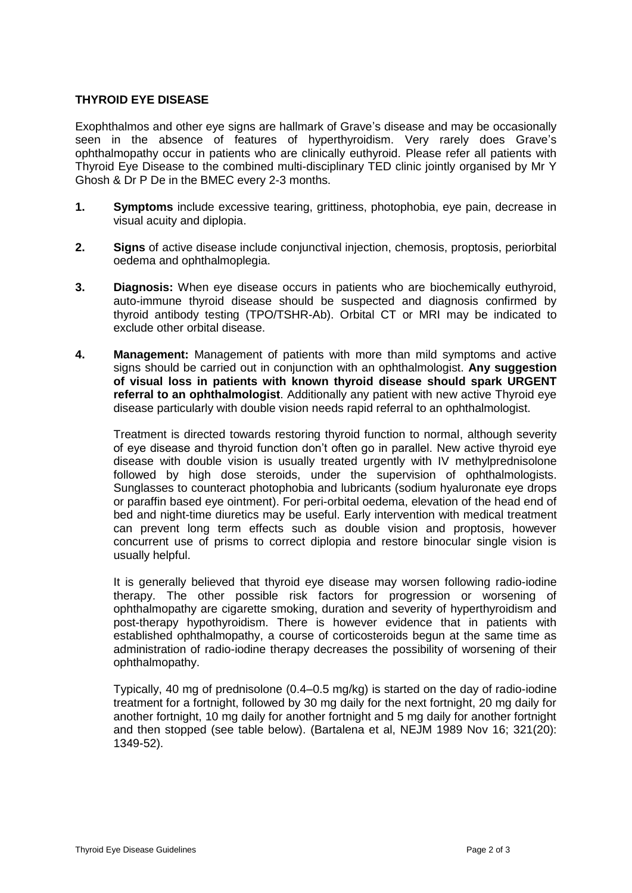#### **THYROID EYE DISEASE**

Exophthalmos and other eye signs are hallmark of Grave's disease and may be occasionally seen in the absence of features of hyperthyroidism. Very rarely does Grave's ophthalmopathy occur in patients who are clinically euthyroid. Please refer all patients with Thyroid Eye Disease to the combined multi-disciplinary TED clinic jointly organised by Mr Y Ghosh & Dr P De in the BMEC every 2-3 months.

- **1. Symptoms** include excessive tearing, grittiness, photophobia, eye pain, decrease in visual acuity and diplopia.
- **2. Signs** of active disease include conjunctival injection, chemosis, proptosis, periorbital oedema and ophthalmoplegia.
- **3. Diagnosis:** When eye disease occurs in patients who are biochemically euthyroid, auto-immune thyroid disease should be suspected and diagnosis confirmed by thyroid antibody testing (TPO/TSHR-Ab). Orbital CT or MRI may be indicated to exclude other orbital disease.
- **4. Management:** Management of patients with more than mild symptoms and active signs should be carried out in conjunction with an ophthalmologist. **Any suggestion of visual loss in patients with known thyroid disease should spark URGENT referral to an ophthalmologist**. Additionally any patient with new active Thyroid eye disease particularly with double vision needs rapid referral to an ophthalmologist.

Treatment is directed towards restoring thyroid function to normal, although severity of eye disease and thyroid function don't often go in parallel. New active thyroid eye disease with double vision is usually treated urgently with IV methylprednisolone followed by high dose steroids, under the supervision of ophthalmologists. Sunglasses to counteract photophobia and lubricants (sodium hyaluronate eye drops or paraffin based eye ointment). For peri-orbital oedema, elevation of the head end of bed and night-time diuretics may be useful. Early intervention with medical treatment can prevent long term effects such as double vision and proptosis, however concurrent use of prisms to correct diplopia and restore binocular single vision is usually helpful.

It is generally believed that thyroid eye disease may worsen following radio-iodine therapy. The other possible risk factors for progression or worsening of ophthalmopathy are cigarette smoking, duration and severity of hyperthyroidism and post-therapy hypothyroidism. There is however evidence that in patients with established ophthalmopathy, a course of corticosteroids begun at the same time as administration of radio-iodine therapy decreases the possibility of worsening of their ophthalmopathy.

Typically, 40 mg of prednisolone (0.4–0.5 mg/kg) is started on the day of radio-iodine treatment for a fortnight, followed by 30 mg daily for the next fortnight, 20 mg daily for another fortnight, 10 mg daily for another fortnight and 5 mg daily for another fortnight and then stopped (see table below). (Bartalena et al, NEJM 1989 Nov 16; 321(20): 1349-52).